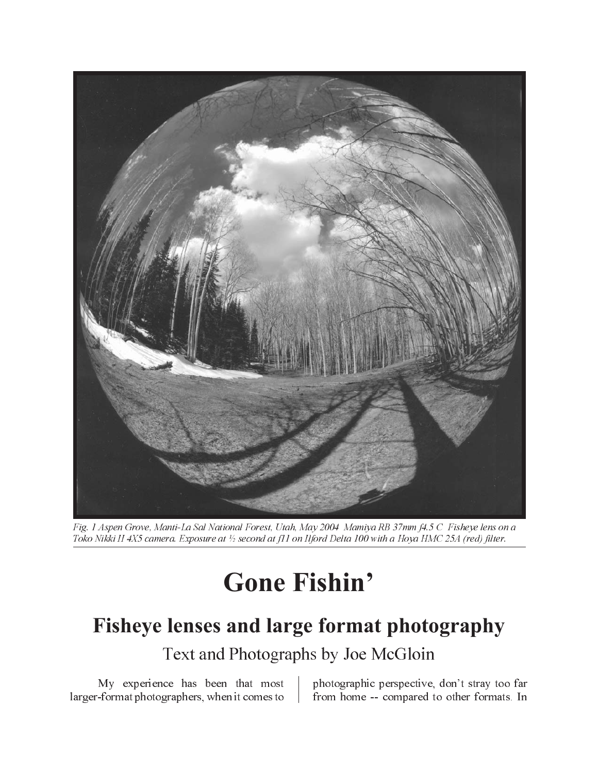

Fig. 1 Aspen Grove, Manti-La Sal National Forest, Utah, May 2004 Mamiya RB 37mm f4.5 C Fisheye lens on a Toko Nikki II 4X5 camera. Exposure at ½ second at f11 on Ilford Delta 100 with a Hoya HMC 25A (red) filter.

## **Gone Fishin'**

## Fisheye lenses and large format photography

Text and Photographs by Joe McGloin

My experience has been that most larger-format photographers, when it comes to from home -- compared to other formats. In

photographic perspective, don't stray too far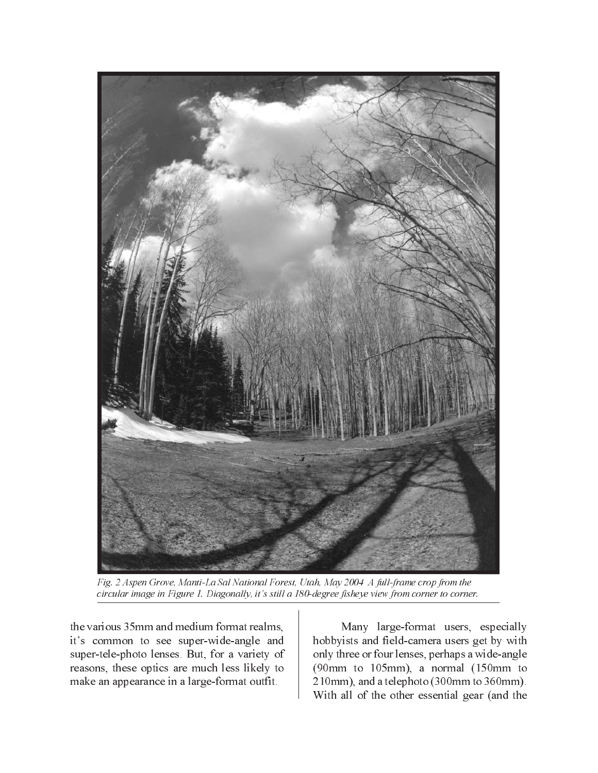

Fig. 2 Aspen Grove, Manti-La Sal National Forest, Utah, May 2004 A full-frame crop from the circular image in Figure 1. Diagonally, it's still a 180-degree fisheye view from corner to corner.

the various 35mm and medium format realms, it's common to see super-wide-angle and super-tele-photo lenses. But, for a variety of reasons, these optics are much less likely to make an appearance in a large-format outfit.

Many large-format users, especially hobbyists and field-camera users get by with only three or four lenses, perhaps a wide-angle  $(90mm)$  to  $105mm$ , a normal  $(150mm)$  to 210mm), and a telephoto (300mm to 360mm). With all of the other essential gear (and the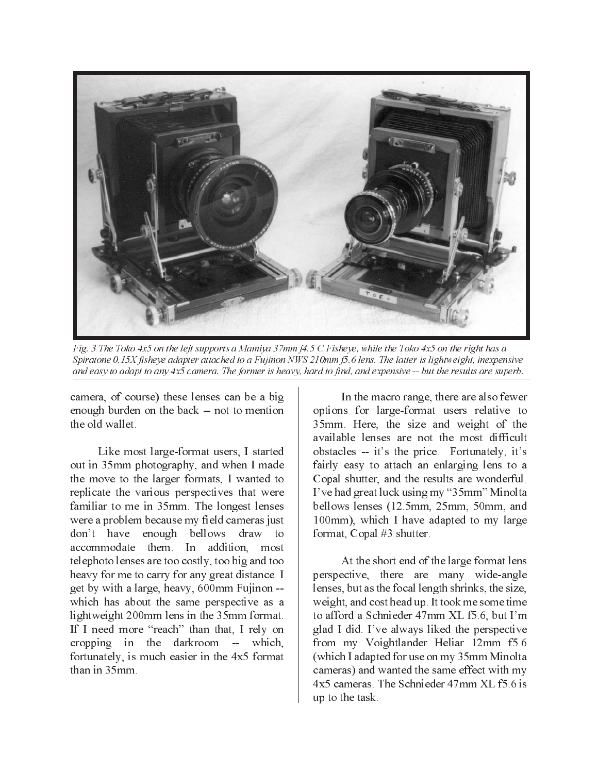

Fig. 3 The Toko 4x5 on the left supports a Mamiya 37mm f4.5 C Fisheye, while the Toko 4x5 on the right has a Spiratone 0.15X fisheye adapter attached to a Fujinon NWS 210mm f5.6 lens. The latter is lightweight, inexpensive and easy to adapt to any  $4x5$  camera. The former is heavy, hard to find, and expensive  $-$ - but the results are superb.

camera, of course) these lenses can be a big enough burden on the back -- not to mention the old wallet.

Like most large-format users, I started out in 35mm photography, and when I made the move to the larger formats, I wanted to replicate the various perspectives that were familiar to me in 35mm. The longest lenses were a problem because my field cameras just don't have enough bellows draw to accommodate them. In addition, most telephoto lenses are too costly, too big and too heavy for me to carry for any great distance. I get by with a large, heavy, 600mm Fujinon -which has about the same perspective as a lightweight 200mm lens in the 35mm format. If I need more "reach" than that, I rely on cropping in the darkroom -- which, fortunately, is much easier in the 4x5 format than in 35mm.

In the macro range, there are also fewer options for large-format users relative to 35mm. Here, the size and weight of the available lenses are not the most difficult obstacles -- it's the price. Fortunately, it's fairly easy to attach an enlarging lens to a Copal shutter, and the results are wonderful. I've had great luck using my "35mm" Minolta bellows lenses (12.5mm, 25mm, 50mm, and 100mm), which I have adapted to my large format, Copal #3 shutter.

At the short end of the large format lens perspective, there are many wide-angle lenses, but as the focal length shrinks, the size, weight, and cost head up. It took me some time to afford a Schnieder 47mm XL f5.6, but I'm glad I did. I've always liked the perspective from my Voightlander Heliar 12mm f5.6 (which I adapted for use on my 35mm Minolta) cameras) and wanted the same effect with my 4x5 cameras. The Schnieder 47mm XL f5.6 is up to the task.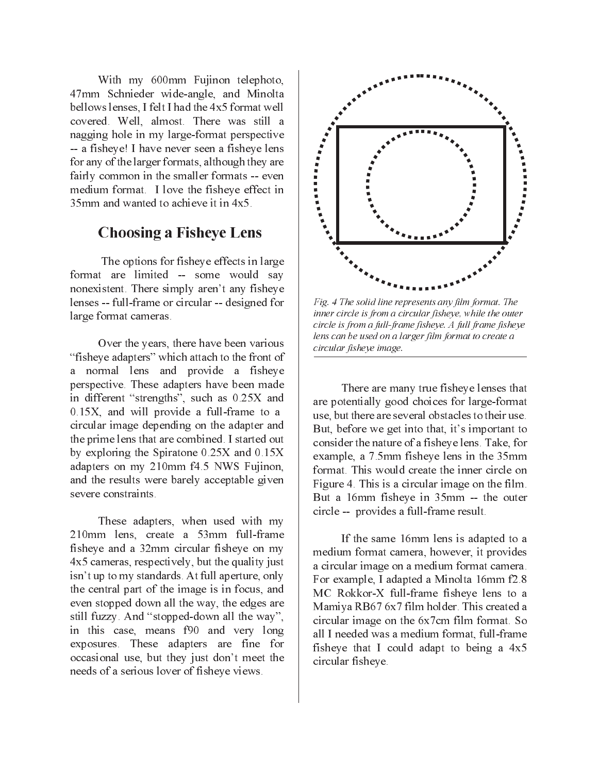With my 600mm Fujinon telephoto, 47mm Schnieder wide-angle, and Minolta bellows lenses, I felt I had the 4x5 format well covered. Well, almost. There was still a nagging hole in my large-format perspective -- a fisheve! I have never seen a fisheve lens for any of the larger formats, although they are fairly common in the smaller formats -- even medium format. I love the fisheve effect in 35mm and wanted to achieve it in  $4x5$ .

## **Choosing a Fisheye Lens**

The options for fisheye effects in large format are limited -- some would say nonexistent. There simply aren't any fisheye lenses -- full-frame or circular -- designed for large format cameras.

Over the years, there have been various "fisheye adapters" which attach to the front of a normal lens and provide a fisheye perspective. These adapters have been made in different "strengths", such as 0.25X and  $0.15X$ , and will provide a full-frame to a circular image depending on the adapter and the prime lens that are combined. I started out by exploring the Spiratone  $0.25X$  and  $0.15X$ adapters on my 210mm f4.5 NWS Fujinon, and the results were barely acceptable given severe constraints.

These adapters, when used with my 210mm lens, create a 53mm full-frame fisheye and a 32mm circular fisheye on my 4x5 cameras, respectively, but the quality just isn't up to my standards. At full aperture, only the central part of the image is in focus, and even stopped down all the way, the edges are still fuzzy. And "stopped-down all the way", in this case, means f90 and very long exposures. These adapters are fine for occasional use, but they just don't meet the needs of a serious lover of fisheye views.



Fig. 4 The solid line represents any film format. The inner circle is from a circular fisheve, while the outer circle is from a full-frame fisheye. A full frame fisheye lens can be used on a larger film format to create a circular fisheve image.

There are many true fisheve lenses that are potentially good choices for large-format use, but there are several obstacles to their use. But, before we get into that, it's important to consider the nature of a fisheve lens. Take, for example, a 7.5mm fisheye lens in the 35mm format. This would create the inner circle on Figure 4. This is a circular image on the film. But a 16mm fisheye in 35mm -- the outer circle -- provides a full-frame result.

If the same 16mm lens is adapted to a medium format camera, however, it provides a circular image on a medium format camera. For example, I adapted a Minolta 16mm f2.8 MC Rokkor-X full-frame fisheve lens to a Mamiya RB67 6x7 film holder. This created a circular image on the 6x7cm film format. So all I needed was a medium format, full-frame fisheye that I could adapt to being a 4x5 circular fisheye.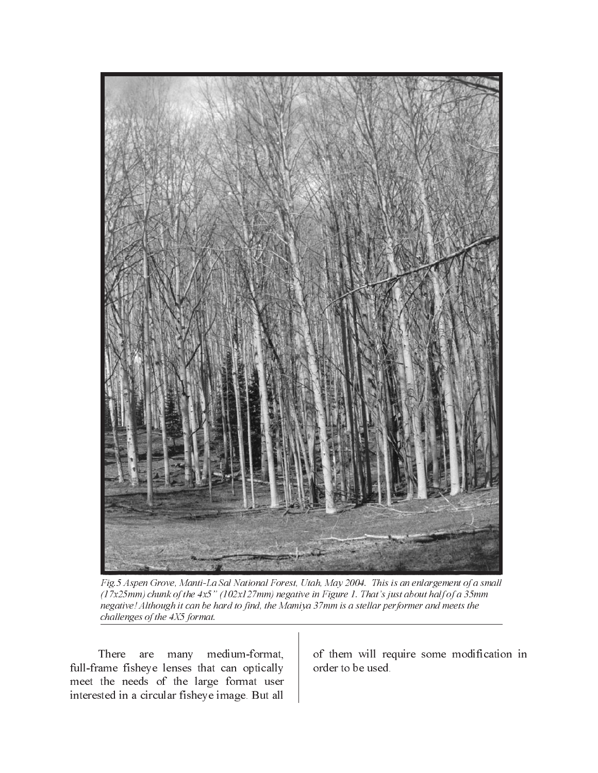

Fig.5 Aspen Grove, Manti-La Sal National Forest, Utah, May 2004. This is an enlargement of a small  $(17x25mm)$  chunk of the 4x5" (102x127mm) negative in Figure 1. That's just about half of a 35mm negative! Although it can be hard to find, the Mamiya 37mm is a stellar performer and meets the challenges of the 4X5 format.

There are many medium-format, full-frame fisheye lenses that can optically meet the needs of the large format user interested in a circular fisheye image. But all

of them will require some modification in order to be used.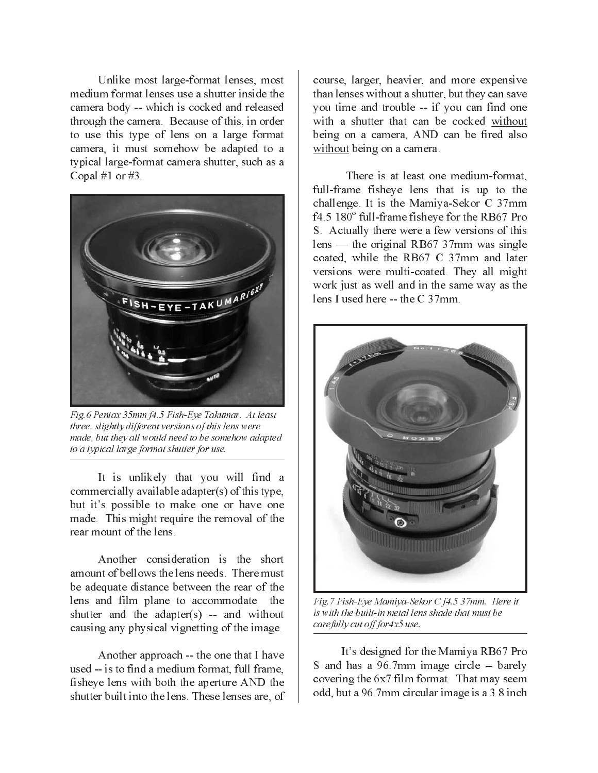Unlike most large-format lenses, most medium format lenses use a shutter inside the camera body -- which is cocked and released through the camera. Because of this, in order to use this type of lens on a large format camera, it must somehow be adapted to a typical large-format camera shutter, such as a Copal #1 or #3.



Fig.6 Pentax 35mm f4.5 Fish-Eye Takumar. At least three, slightly different versions of this lens were made, but they all would need to be somehow adapted to a typical large format shutter for use.

It is unlikely that you will find a commercially available adapter(s) of this type, but it's possible to make one or have one made. This might require the removal of the rear mount of the lens

Another consideration is the short amount of bellows the lens needs. There must be adequate distance between the rear of the lens and film plane to accommodate the shutter and the adapter(s) -- and without causing any physical vignetting of the image.

Another approach -- the one that I have used -- is to find a medium format, full frame, fisheye lens with both the aperture AND the shutter built into the lens. These lenses are, of

course, larger, heavier, and more expensive than lenses without a shutter, but they can save you time and trouble -- if you can find one with a shutter that can be cocked without being on a camera. AND can be fired also without being on a camera.

There is at least one medium-format. full-frame fisheye lens that is up to the challenge. It is the Mamiya-Sekor C 37mm f4.5 180° full-frame fisheye for the RB67 Pro S. Actually there were a few versions of this lens — the original RB67 37mm was single coated, while the RB67 C 37mm and later versions were multi-coated. They all might work just as well and in the same way as the lens I used here  $-$  the C 37mm.



Fig.7 Fish-Eye Mamiya-Sekor C f4.5 37mm. Here it is with the built-in metal lens shade that must be carefully cut off for 4x5 use.

It's designed for the Mamiya RB67 Pro S and has a 96.7mm image circle -- barely covering the 6x7 film format. That may seem odd, but a 96.7mm circular image is a 3.8 inch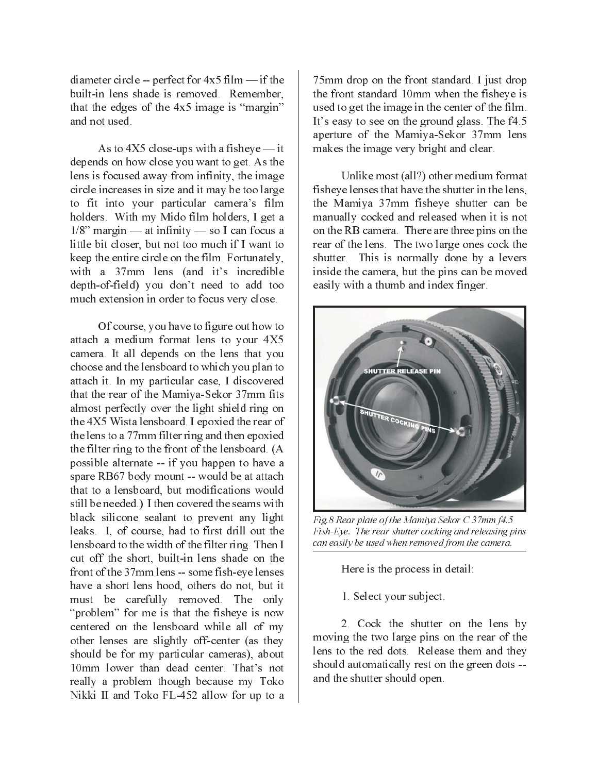diameter circle -- perfect for  $4x5$  film  $-$  if the built-in lens shade is removed. Remember, that the edges of the 4x5 image is "margin" and not used.

As to  $4X5$  close-ups with a fisheye — it depends on how close you want to get. As the lens is focused away from infinity, the image circle increases in size and it may be too large to fit into your particular camera's film holders. With my Mido film holders, I get a  $1/8$ " margin — at infinity — so I can focus a little bit closer, but not too much if I want to keep the entire circle on the film. Fortunately, with a 37mm lens (and it's incredible depth-of-field) you don't need to add too much extension in order to focus very close.

Of course, you have to figure out how to attach a medium format lens to your 4X5 camera. It all depends on the lens that you choose and the lensboard to which you plan to attach it. In my particular case, I discovered that the rear of the Mamiya-Sekor 37mm fits almost perfectly over the light shield ring on the 4X5 Wista lensboard. I epoxied the rear of the lens to a 77mm filter ring and then epoxied the filter ring to the front of the lensboard. (A possible alternate -- if you happen to have a spare RB67 body mount -- would be at attach that to a lensboard, but modifications would still be needed.) I then covered the seams with black silicone sealant to prevent any light leaks. I, of course, had to first drill out the lensboard to the width of the filter ring. Then I cut off the short, built-in lens shade on the front of the 37mm lens -- some fish-eye lenses have a short lens hood, others do not, but it must be carefully removed. The only "problem" for me is that the fisheye is now centered on the lensboard while all of my other lenses are slightly off-center (as they should be for my particular cameras), about 10mm lower than dead center. That's not really a problem though because my Toko Nikki II and Toko FL-452 allow for up to a

75mm drop on the front standard. I just drop the front standard 10mm when the fisheye is used to get the image in the center of the film. It's easy to see on the ground glass. The f4.5 aperture of the Mamiya-Sekor 37mm lens makes the image very bright and clear.

Unlike most (all?) other medium format fisheve lenses that have the shutter in the lens, the Mamiya 37mm fisheye shutter can be manually cocked and released when it is not on the RB camera. There are three pins on the rear of the lens. The two large ones cock the shutter. This is normally done by a levers inside the camera, but the pins can be moved easily with a thumb and index finger.



Fig.8 Rear plate of the Mamiya Sekor C 37mm f4.5 Fish-Eye. The rear shutter cocking and releasing pins can easily be used when removed from the camera.

Here is the process in detail:

1. Select your subject.

2. Cock the shutter on the lens by moving the two large pins on the rear of the lens to the red dots. Release them and they should automatically rest on the green dots -and the shutter should open.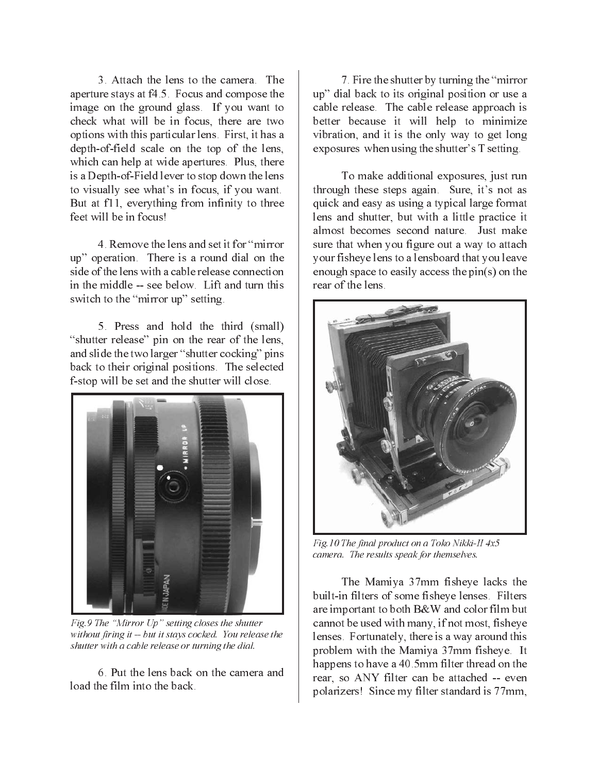3. Attach the lens to the camera. The aperture stays at f4.5. Focus and compose the image on the ground glass. If you want to check what will be in focus, there are two options with this particular lens. First, it has a depth-of-field scale on the top of the lens, which can help at wide apertures. Plus, there is a Depth-of-Field lever to stop down the lens to visually see what's in focus, if you want. But at f11, everything from infinity to three feet will be in focus!

4. Remove the lens and set it for "mirror" up" operation. There is a round dial on the side of the lens with a cable release connection in the middle -- see below. Lift and turn this switch to the "mirror up" setting.

5. Press and hold the third (small) "shutter release" pin on the rear of the lens, and slide the two larger "shutter cocking" pins back to their original positions. The selected f-stop will be set and the shutter will close.



Fig.9 The "Mirror Up" setting closes the shutter without firing it -- but it stays cocked. You release the shutter with a cable release or turning the dial.

6. Put the lens back on the camera and load the film into the back

7. Fire the shutter by turning the "mirror" up" dial back to its original position or use a cable release. The cable release approach is better because it will help to minimize vibration, and it is the only way to get long exposures when using the shutter's T setting.

To make additional exposures, just run through these steps again. Sure, it's not as quick and easy as using a typical large format lens and shutter, but with a little practice it almost becomes second nature. Just make sure that when you figure out a way to attach your fisheve lens to a lensboard that you leave enough space to easily access the pin(s) on the rear of the lens.



Fig. 10 The final product on a Toko Nikki-II 4x5 camera. The results speak for themselves.

The Mamiya 37mm fisheye lacks the built-in filters of some fisheye lenses. Filters are important to both B&W and color film but cannot be used with many, if not most, fisheye lenses. Fortunately, there is a way around this problem with the Mamiya 37mm fisheye. It happens to have a 40.5mm filter thread on the rear, so ANY filter can be attached -- even polarizers! Since my filter standard is 77mm,